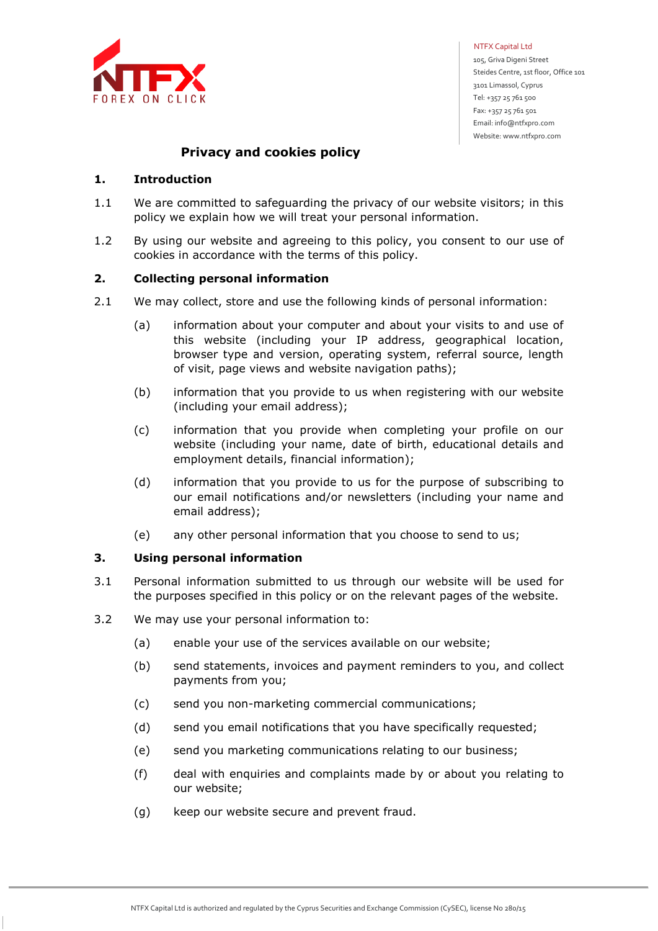

NTFX Capital Ltd

 105, Griva Digeni Street Steides Centre, 1st floor, Office 101 3101 Limassol, Cyprus Tel: +357 25 761 500 Fax: +357 25 761 501 Email: info@ntfxpro.com Website: www.ntfxpro.com

# **Privacy and cookies policy**

# **1. Introduction**

- 1.1 We are committed to safeguarding the privacy of our website visitors; in this policy we explain how we will treat your personal information.
- 1.2 By using our website and agreeing to this policy, you consent to our use of cookies in accordance with the terms of this policy.

# **2. Collecting personal information**

- 2.1 We may collect, store and use the following kinds of personal information:
	- (a) information about your computer and about your visits to and use of this website (including your IP address, geographical location, browser type and version, operating system, referral source, length of visit, page views and website navigation paths);
	- (b) information that you provide to us when registering with our website (including your email address);
	- (c) information that you provide when completing your profile on our website (including your name, date of birth, educational details and employment details, financial information);
	- (d) information that you provide to us for the purpose of subscribing to our email notifications and/or newsletters (including your name and email address);
	- (е) any other personal information that you choose to send to us;

## **3. Using personal information**

- 3.1 Personal information submitted to us through our website will be used for the purposes specified in this policy or on the relevant pages of the website.
- 3.2 We may use your personal information to:
	- (a) enable your use of the services available on our website;
	- (b) send statements, invoices and payment reminders to you, and collect payments from you;
	- (c) send you non-marketing commercial communications;
	- (d) send you email notifications that you have specifically requested;
	- (e) send you marketing communications relating to our business;
	- (f) deal with enquiries and complaints made by or about you relating to our website;
	- (g) keep our website secure and prevent fraud.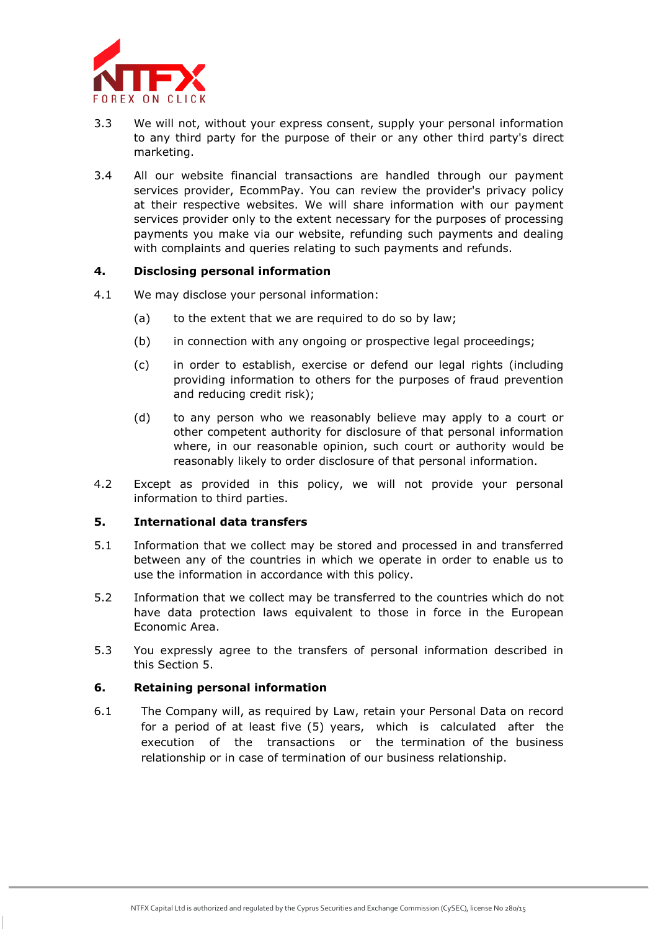

- 3.3 We will not, without your express consent, supply your personal information to any third party for the purpose of their or any other third party's direct marketing.
- 3.4 All our website financial transactions are handled through our payment services provider, EcommPay. You can review the provider's privacy policy at their respective websites. We will share information with our payment services provider only to the extent necessary for the purposes of processing payments you make via our website, refunding such payments and dealing with complaints and queries relating to such payments and refunds.

## **4. Disclosing personal information**

- 4.1 We may disclose your personal information:
	- (a) to the extent that we are required to do so by law;
	- (b) in connection with any ongoing or prospective legal proceedings;
	- (c) in order to establish, exercise or defend our legal rights (including providing information to others for the purposes of fraud prevention and reducing credit risk);
	- (d) to any person who we reasonably believe may apply to a court or other competent authority for disclosure of that personal information where, in our reasonable opinion, such court or authority would be reasonably likely to order disclosure of that personal information.
- 4.2 Except as provided in this policy, we will not provide your personal information to third parties.

## **5. International data transfers**

- 5.1 Information that we collect may be stored and processed in and transferred between any of the countries in which we operate in order to enable us to use the information in accordance with this policy.
- 5.2 Information that we collect may be transferred to the countries which do not have data protection laws equivalent to those in force in the European Economic Area.
- 5.3 You expressly agree to the transfers of personal information described in this Section 5.

## **6. Retaining personal information**

6.1 The Company will, as required by Law, retain your Personal Data on record for a period of at least five (5) years, which is calculated after the execution of the transactions or the termination of the business relationship or in case of termination of our business relationship.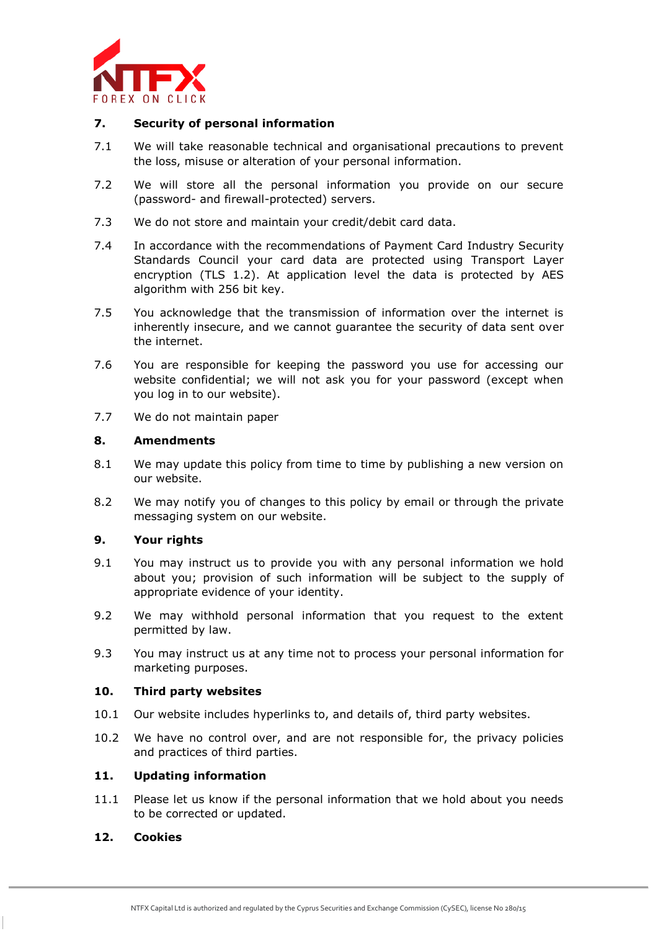

## **7. Security of personal information**

- 7.1 We will take reasonable technical and organisational precautions to prevent the loss, misuse or alteration of your personal information.
- 7.2 We will store all the personal information you provide on our secure (password- and firewall-protected) servers.
- 7.3 We do not store and maintain your credit/debit card data.
- 7.4 In accordance with the recommendations of Payment Card Industry Security Standards Council your card data are protected using Transport Layer encryption (TLS 1.2). At application level the data is protected by AES algorithm with 256 bit key.
- 7.5 You acknowledge that the transmission of information over the internet is inherently insecure, and we cannot guarantee the security of data sent over the internet.
- 7.6 You are responsible for keeping the password you use for accessing our website confidential; we will not ask you for your password (except when you log in to our website).
- 7.7 We do not maintain paper

# **8. Amendments**

- 8.1 We may update this policy from time to time by publishing a new version on our website.
- 8.2 We may notify you of changes to this policy by email or through the private messaging system on our website.

# **9. Your rights**

- 9.1 You may instruct us to provide you with any personal information we hold about you; provision of such information will be subject to the supply of appropriate evidence of your identity.
- 9.2 We may withhold personal information that you request to the extent permitted by law.
- 9.3 You may instruct us at any time not to process your personal information for marketing purposes.

## **10. Third party websites**

- 10.1 Our website includes hyperlinks to, and details of, third party websites.
- 10.2 We have no control over, and are not responsible for, the privacy policies and practices of third parties.

## **11. Updating information**

11.1 Please let us know if the personal information that we hold about you needs to be corrected or updated.

# **12. Сookies**